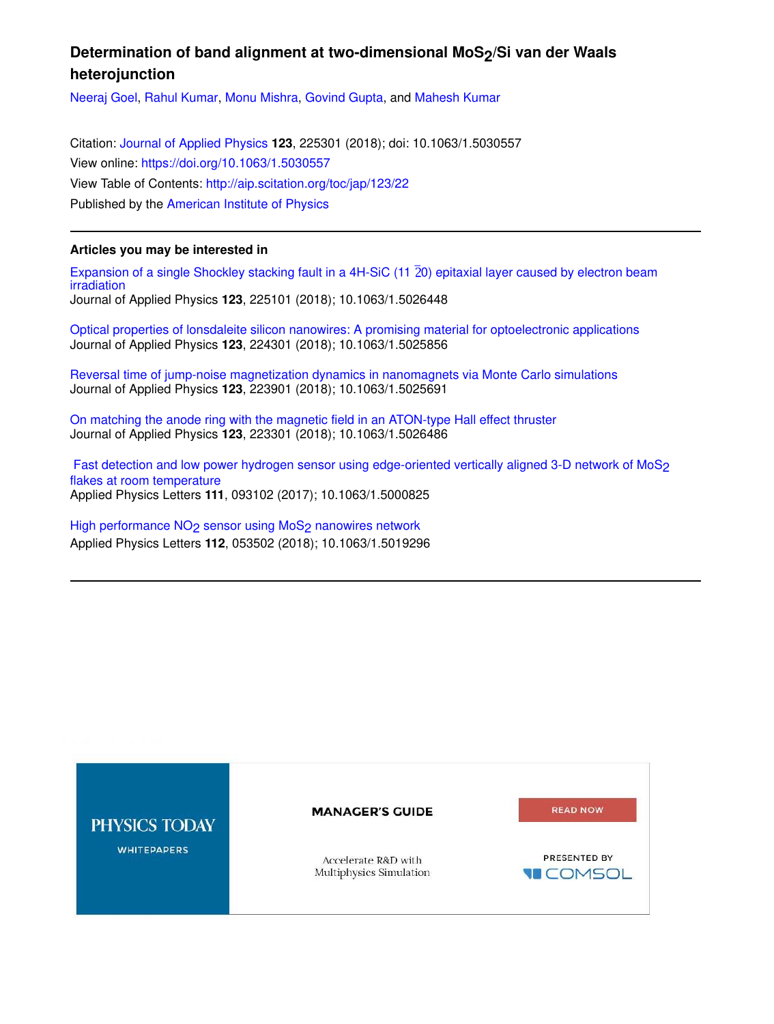# Determination of band alignment at two-dimensional MoS<sub>2</sub>/Si van der Waals **heterojunction**

Neeraj Goel, Rahul Kumar, Monu Mishra, Govind Gupta, and Mahesh Kumar

Citation: Journal of Applied Physics **123**, 225301 (2018); doi: 10.1063/1.5030557 View online: https://doi.org/10.1063/1.5030557 View Table of Contents: http://aip.scitation.org/toc/jap/123/22 Published by the American Institute of Physics

## **Articles you may be interested in**

Expansion of a single Shockley stacking fault in a 4H-SiC (11 $\overline{2}0$ ) epitaxial layer caused by electron beam irradiation Journal of Applied Physics **123**, 225101 (2018); 10.1063/1.5026448

Optical properties of lonsdaleite silicon nanowires: A promising material for optoelectronic applications Journal of Applied Physics **123**, 224301 (2018); 10.1063/1.5025856

Reversal time of jump-noise magnetization dynamics in nanomagnets via Monte Carlo simulations Journal of Applied Physics **123**, 223901 (2018); 10.1063/1.5025691

On matching the anode ring with the magnetic field in an ATON-type Hall effect thruster Journal of Applied Physics **123**, 223301 (2018); 10.1063/1.5026486

Fast detection and low power hydrogen sensor using edge-oriented vertically aligned 3-D network of MoS<sub>2</sub> flakes at room temperature Applied Physics Letters **111**, 093102 (2017); 10.1063/1.5000825

High performance NO<sub>2</sub> sensor using MoS<sub>2</sub> nanowires network Applied Physics Letters **112**, 053502 (2018); 10.1063/1.5019296

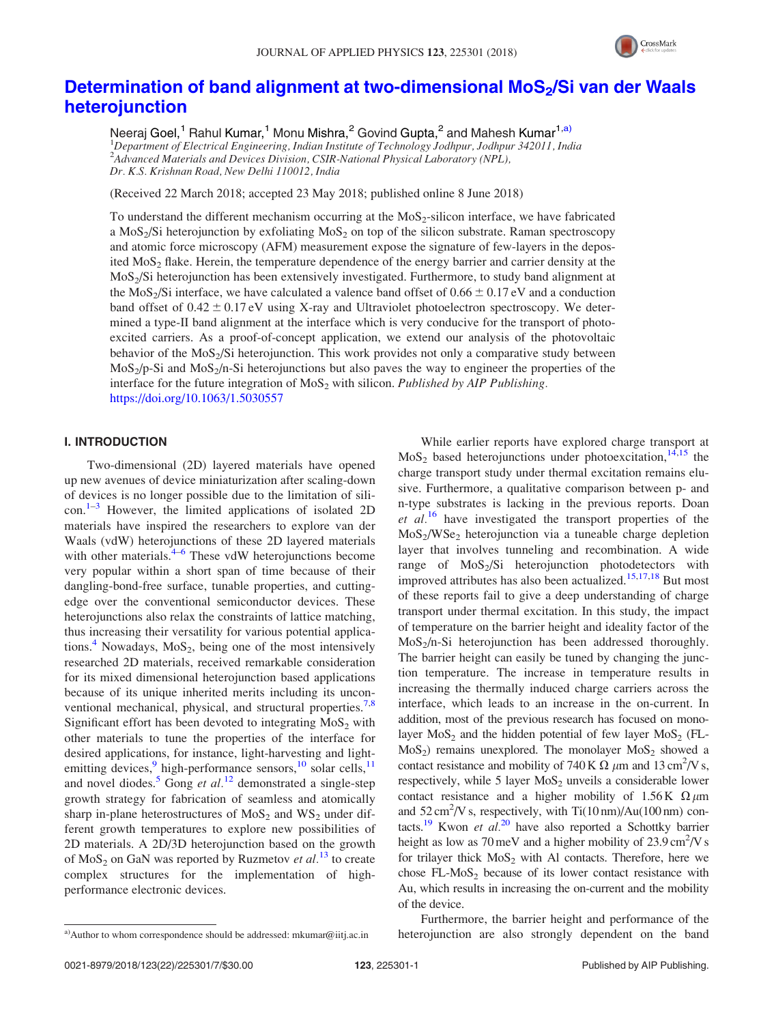

## Determination of band alignment at two-dimensional MoS<sub>2</sub>/Si van der Waals heterojunction

Neeraj Goel,<sup>1</sup> Rahul Kumar,<sup>1</sup> Monu Mishra,<sup>2</sup> Govind Gupta,<sup>2</sup> and Mahesh Kumar<sup>1,a)</sup> <sup>1</sup>Department of Electrical Engineering, Indian Institute of Technology Jodhpur, Jodhpur 342011, India <sup>2</sup> Advanced Materials and Devices Division, CSIR-National Physical Laboratory (NPL), Dr. K.S. Krishnan Road, New Delhi 110012, India

(Received 22 March 2018; accepted 23 May 2018; published online 8 June 2018)

To understand the different mechanism occurring at the  $MoS<sub>2</sub>$ -silicon interface, we have fabricated a  $MoS<sub>2</sub>/Si$  heterojunction by exfoliating  $MoS<sub>2</sub>$  on top of the silicon substrate. Raman spectroscopy and atomic force microscopy (AFM) measurement expose the signature of few-layers in the deposited  $MoS<sub>2</sub>$  flake. Herein, the temperature dependence of the energy barrier and carrier density at the MoS2/Si heterojunction has been extensively investigated. Furthermore, to study band alignment at the MoS<sub>2</sub>/Si interface, we have calculated a valence band offset of  $0.66 \pm 0.17$  eV and a conduction band offset of  $0.42 \pm 0.17$  eV using X-ray and Ultraviolet photoelectron spectroscopy. We determined a type-II band alignment at the interface which is very conducive for the transport of photoexcited carriers. As a proof-of-concept application, we extend our analysis of the photovoltaic behavior of the MoS<sub>2</sub>/Si heterojunction. This work provides not only a comparative study between  $MoS<sub>2</sub>/p-Si$  and  $MoS<sub>2</sub>/n-Si$  heterojunctions but also paves the way to engineer the properties of the interface for the future integration of  $MoS<sub>2</sub>$  with silicon. Published by AIP Publishing. https://doi.org/10.1063/1.5030557

### I. INTRODUCTION

Two-dimensional (2D) layered materials have opened up new avenues of device miniaturization after scaling-down of devices is no longer possible due to the limitation of silicon. $1-3$  However, the limited applications of isolated 2D materials have inspired the researchers to explore van der Waals (vdW) heterojunctions of these 2D layered materials with other materials.<sup>4-6</sup> These vdW heterojunctions become very popular within a short span of time because of their dangling-bond-free surface, tunable properties, and cuttingedge over the conventional semiconductor devices. These heterojunctions also relax the constraints of lattice matching, thus increasing their versatility for various potential applications.<sup>4</sup> Nowadays,  $MoS<sub>2</sub>$ , being one of the most intensively researched 2D materials, received remarkable consideration for its mixed dimensional heterojunction based applications because of its unique inherited merits including its unconventional mechanical, physical, and structural properties.<sup>7,8</sup> Significant effort has been devoted to integrating  $MoS<sub>2</sub>$  with other materials to tune the properties of the interface for desired applications, for instance, light-harvesting and lightemitting devices,<sup>9</sup> high-performance sensors,<sup>10</sup> solar cells,<sup>11</sup> and novel diodes.<sup>5</sup> Gong et  $al$ .<sup>12</sup> demonstrated a single-step growth strategy for fabrication of seamless and atomically sharp in-plane heterostructures of  $MoS<sub>2</sub>$  and  $WS<sub>2</sub>$  under different growth temperatures to explore new possibilities of 2D materials. A 2D/3D heterojunction based on the growth of  $MoS<sub>2</sub>$  on GaN was reported by Ruzmetov *et al.*<sup>13</sup> to create complex structures for the implementation of highperformance electronic devices.

While earlier reports have explored charge transport at  $MoS<sub>2</sub>$  based heterojunctions under photoexcitation,<sup>14,15</sup> the charge transport study under thermal excitation remains elusive. Furthermore, a qualitative comparison between p- and n-type substrates is lacking in the previous reports. Doan et  $al$ <sup>16</sup> have investigated the transport properties of the MoS<sup>2</sup> /WSe<sup>2</sup> heterojunction via a tuneable charge depletion layer that involves tunneling and recombination. A wide range of  $MoS<sub>2</sub>/Si$  heterojunction photodetectors with improved attributes has also been actualized.<sup>15,17,18</sup> But most of these reports fail to give a deep understanding of charge transport under thermal excitation. In this study, the impact of temperature on the barrier height and ideality factor of the  $MoS<sub>2</sub>/n-Si$  heterojunction has been addressed thoroughly. The barrier height can easily be tuned by changing the junction temperature. The increase in temperature results in increasing the thermally induced charge carriers across the interface, which leads to an increase in the on-current. In addition, most of the previous research has focused on monolayer  $MoS_2$  and the hidden potential of few layer  $MoS_2$  (FL- $MoS<sub>2</sub>$ ) remains unexplored. The monolayer  $MoS<sub>2</sub>$  showed a contact resistance and mobility of 740 K  $\Omega$   $\mu$ m and 13 cm<sup>2</sup>/V s, respectively, while 5 layer  $MoS<sub>2</sub>$  unveils a considerable lower contact resistance and a higher mobility of  $1.56K \Omega \mu m$ and  $52 \text{ cm}^2/\text{V}$  s, respectively, with Ti $(10 \text{ nm})$ /Au $(100 \text{ nm})$  contacts.<sup>19</sup> Kwon et  $al.^{20}$  have also reported a Schottky barrier height as low as  $70 \,\text{meV}$  and a higher mobility of  $23.9 \,\text{cm}^2/\text{V}$  s for trilayer thick  $MoS<sub>2</sub>$  with Al contacts. Therefore, here we chose  $FL-MoS<sub>2</sub>$  because of its lower contact resistance with Au, which results in increasing the on-current and the mobility of the device.

Furthermore, the barrier height and performance of the a)Author to whom correspondence should be addressed: mkumar@iitj.ac.in heterojunction are also strongly dependent on the band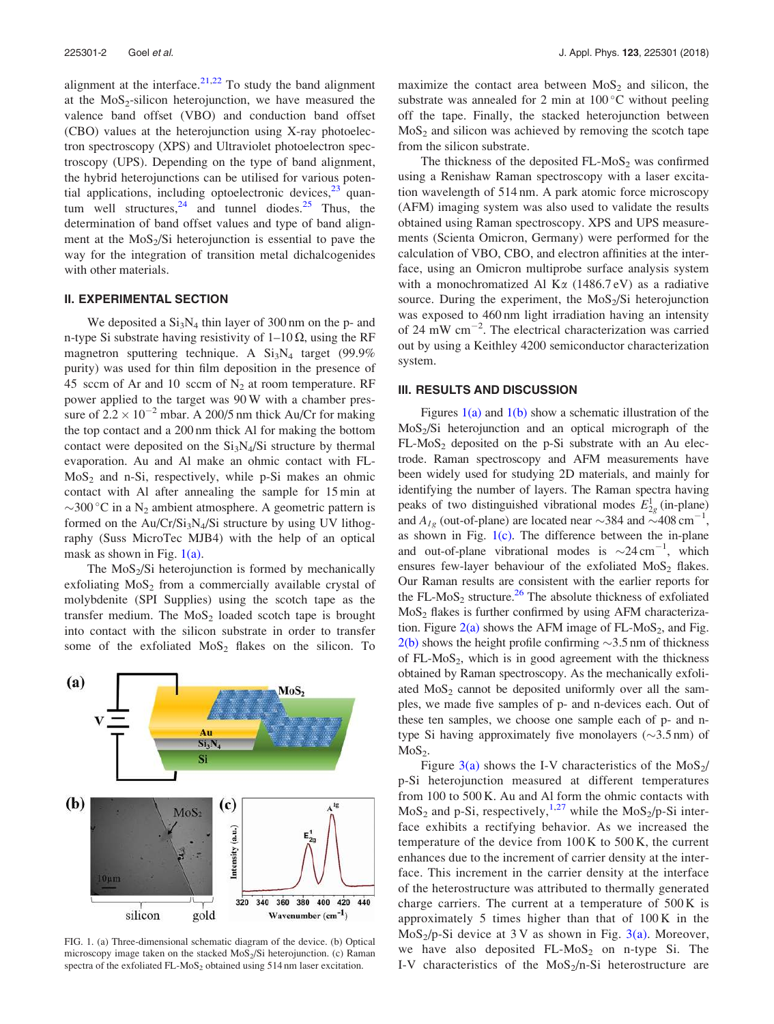alignment at the interface. $2^{1,22}$  To study the band alignment at the  $MoS_2$ -silicon heterojunction, we have measured the valence band offset (VBO) and conduction band offset (CBO) values at the heterojunction using X-ray photoelectron spectroscopy (XPS) and Ultraviolet photoelectron spectroscopy (UPS). Depending on the type of band alignment, the hybrid heterojunctions can be utilised for various potential applications, including optoelectronic devices, $23$  quantum well structures,  $24$  and tunnel diodes. <sup>25</sup> Thus, the determination of band offset values and type of band alignment at the  $MoS<sub>2</sub>/Si$  heterojunction is essential to pave the way for the integration of transition metal dichalcogenides with other materials.

#### II. EXPERIMENTAL SECTION

We deposited a  $Si<sub>3</sub>N<sub>4</sub>$  thin layer of 300 nm on the p- and n-type Si substrate having resistivity of  $1-10 \Omega$ , using the RF magnetron sputtering technique. A  $Si<sub>3</sub>N<sub>4</sub>$  target (99.9%) purity) was used for thin film deposition in the presence of 45 sccm of Ar and 10 sccm of  $N_2$  at room temperature. RF power applied to the target was 90 W with a chamber pressure of  $2.2 \times 10^{-2}$  mbar. A 200/5 nm thick Au/Cr for making the top contact and a 200 nm thick Al for making the bottom contact were deposited on the  $Si<sub>3</sub>N<sub>4</sub>/Si$  structure by thermal evaporation. Au and Al make an ohmic contact with FL- $MoS<sub>2</sub>$  and n-Si, respectively, while p-Si makes an ohmic contact with Al after annealing the sample for 15 min at  $\sim$ 300 °C in a N<sub>2</sub> ambient atmosphere. A geometric pattern is formed on the Au/Cr/Si<sub>3</sub>N<sub>4</sub>/Si structure by using UV lithography (Suss MicroTec MJB4) with the help of an optical mask as shown in Fig.  $1(a)$ .

The  $MoS<sub>2</sub>/Si$  heterojunction is formed by mechanically exfoliating  $MoS<sub>2</sub>$  from a commercially available crystal of molybdenite (SPI Supplies) using the scotch tape as the transfer medium. The  $MoS<sub>2</sub>$  loaded scotch tape is brought into contact with the silicon substrate in order to transfer some of the exfoliated  $MoS<sub>2</sub>$  flakes on the silicon. To



FIG. 1. (a) Three-dimensional schematic diagram of the device. (b) Optical microscopy image taken on the stacked  $MoS<sub>2</sub>/Si$  heterojunction. (c) Raman spectra of the exfoliated FL-MoS<sub>2</sub> obtained using  $514$  nm laser excitation.

maximize the contact area between  $MoS<sub>2</sub>$  and silicon, the substrate was annealed for 2 min at  $100^{\circ}$ C without peeling off the tape. Finally, the stacked heterojunction between  $MoS<sub>2</sub>$  and silicon was achieved by removing the scotch tape from the silicon substrate.

The thickness of the deposited  $FL-MoS<sub>2</sub>$  was confirmed using a Renishaw Raman spectroscopy with a laser excitation wavelength of 514 nm. A park atomic force microscopy (AFM) imaging system was also used to validate the results obtained using Raman spectroscopy. XPS and UPS measurements (Scienta Omicron, Germany) were performed for the calculation of VBO, CBO, and electron affinities at the interface, using an Omicron multiprobe surface analysis system with a monochromatized Al K $\alpha$  (1486.7 eV) as a radiative source. During the experiment, the  $MoS<sub>2</sub>/Si$  heterojunction was exposed to 460 nm light irradiation having an intensity of 24 mW  $cm^{-2}$ . The electrical characterization was carried out by using a Keithley 4200 semiconductor characterization system.

#### III. RESULTS AND DISCUSSION

Figures  $1(a)$  and  $1(b)$  show a schematic illustration of the MoS<sup>2</sup> /Si heterojunction and an optical micrograph of the  $FL-MoS<sub>2</sub>$  deposited on the p-Si substrate with an Au electrode. Raman spectroscopy and AFM measurements have been widely used for studying 2D materials, and mainly for identifying the number of layers. The Raman spectra having peaks of two distinguished vibrational modes  $E_{2g}^1$  (in-plane) and  $A_{Ig}$  (out-of-plane) are located near  $\sim$ 384 and  $\sim$ 408 cm<sup>-1</sup>, as shown in Fig.  $1(c)$ . The difference between the in-plane and out-of-plane vibrational modes is  $\sim$  24 cm<sup>-1</sup>, which ensures few-layer behaviour of the exfoliated  $MoS<sub>2</sub>$  flakes. Our Raman results are consistent with the earlier reports for the FL-MoS<sub>2</sub> structure.<sup>26</sup> The absolute thickness of exfoliated  $MoS<sub>2</sub>$  flakes is further confirmed by using AFM characterization. Figure  $2(a)$  shows the AFM image of FL-MoS<sub>2</sub>, and Fig.  $2(b)$  shows the height profile confirming  $\sim$ 3.5 nm of thickness of  $FL-MoS<sub>2</sub>$ , which is in good agreement with the thickness obtained by Raman spectroscopy. As the mechanically exfoliated  $MoS<sub>2</sub>$  cannot be deposited uniformly over all the samples, we made five samples of p- and n-devices each. Out of these ten samples, we choose one sample each of p- and ntype Si having approximately five monolayers  $(\sim 3.5 \text{ nm})$  of  $MoS<sub>2</sub>$ .

Figure 3(a) shows the I-V characteristics of the  $MoS<sub>2</sub>/$ p-Si heterojunction measured at different temperatures from 100 to 500 K. Au and Al form the ohmic contacts with  $MoS<sub>2</sub>$  and p-Si, respectively,<sup>1,27</sup> while the MoS<sub>2</sub>/p-Si interface exhibits a rectifying behavior. As we increased the temperature of the device from 100 K to 500 K, the current enhances due to the increment of carrier density at the interface. This increment in the carrier density at the interface of the heterostructure was attributed to thermally generated charge carriers. The current at a temperature of 500 K is approximately 5 times higher than that of 100 K in the  $MoS<sub>2</sub>/p-Si$  device at 3 V as shown in Fig. 3(a). Moreover, we have also deposited  $FL-MoS<sub>2</sub>$  on n-type Si. The I-V characteristics of the  $MoS<sub>2</sub>/n-Si$  heterostructure are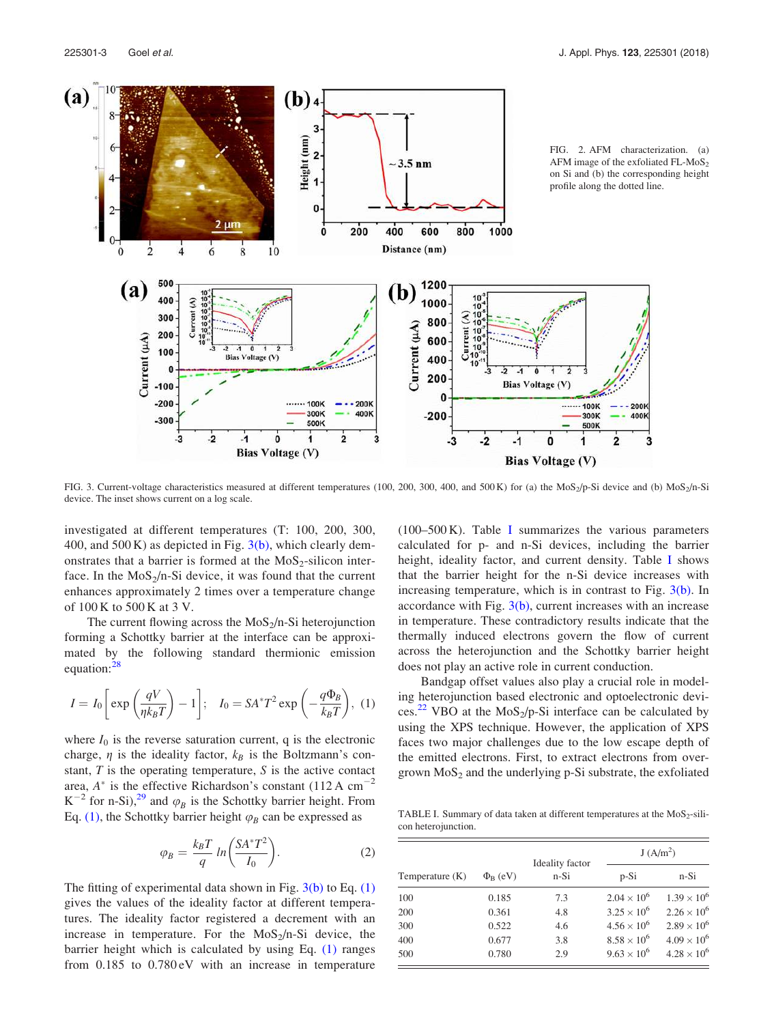

FIG. 3. Current-voltage characteristics measured at different temperatures (100, 200, 300, 400, and 500 K) for (a) the MoS<sub>2</sub>/p-Si device and (b) MoS<sub>2</sub>/n-Si device. The inset shows current on a log scale.

investigated at different temperatures (T: 100, 200, 300, 400, and 500 K) as depicted in Fig.  $3(b)$ , which clearly demonstrates that a barrier is formed at the  $MoS<sub>2</sub>-silicon$  interface. In the  $MoS<sub>2</sub>/n-Si$  device, it was found that the current enhances approximately 2 times over a temperature change of 100 K to 500 K at 3 V.

The current flowing across the  $MoS<sub>2</sub>/n-Si$  heterojunction forming a Schottky barrier at the interface can be approximated by the following standard thermionic emission equation:<sup>28</sup>

$$
I = I_0 \left[ \exp\left(\frac{qV}{\eta k_B T}\right) - 1 \right]; \quad I_0 = SA^* T^2 \exp\left(-\frac{q\Phi_B}{k_B T}\right), \tag{1}
$$

where  $I_0$  is the reverse saturation current, q is the electronic charge,  $\eta$  is the ideality factor,  $k_B$  is the Boltzmann's constant,  $T$  is the operating temperature,  $S$  is the active contact area,  $A^*$  is the effective Richardson's constant (112 A cm<sup>-2</sup>  $K^{-2}$  for n-Si),<sup>29</sup> and  $\varphi_B$  is the Schottky barrier height. From Eq. (1), the Schottky barrier height  $\varphi_B$  can be expressed as

$$
\varphi_B = \frac{k_B T}{q} \ln \left( \frac{S A^* T^2}{I_0} \right). \tag{2}
$$

The fitting of experimental data shown in Fig.  $3(b)$  to Eq.  $(1)$ gives the values of the ideality factor at different temperatures. The ideality factor registered a decrement with an increase in temperature. For the  $MoS<sub>2</sub>/n-Si$  device, the barrier height which is calculated by using Eq. (1) ranges from 0.185 to 0.780 eV with an increase in temperature (100–500 K). Table I summarizes the various parameters calculated for p- and n-Si devices, including the barrier height, ideality factor, and current density. Table I shows that the barrier height for the n-Si device increases with increasing temperature, which is in contrast to Fig.  $3(b)$ . In accordance with Fig.  $3(b)$ , current increases with an increase in temperature. These contradictory results indicate that the thermally induced electrons govern the flow of current across the heterojunction and the Schottky barrier height does not play an active role in current conduction.

Bandgap offset values also play a crucial role in modeling heterojunction based electronic and optoelectronic devices.<sup>22</sup> VBO at the MoS<sub>2</sub>/p-Si interface can be calculated by using the XPS technique. However, the application of XPS faces two major challenges due to the low escape depth of the emitted electrons. First, to extract electrons from overgrown  $MoS<sub>2</sub>$  and the underlying p-Si substrate, the exfoliated

TABLE I. Summary of data taken at different temperatures at the  $MoS<sub>2</sub>$ -silicon heterojunction.

| Temperature $(K)$ | $\Phi_{\rm B}$ (eV) | Ideality factor<br>$n-Si$ | J(A/m <sup>2</sup> ) |                      |
|-------------------|---------------------|---------------------------|----------------------|----------------------|
|                   |                     |                           | $p-Si$               | n-Si                 |
| 100               | 0.185               | 7.3                       | $2.04 \times 10^{6}$ | $1.39 \times 10^{6}$ |
| 200               | 0.361               | 4.8                       | $3.25 \times 10^{6}$ | $2.26 \times 10^{6}$ |
| 300               | 0.522               | 4.6                       | $4.56 \times 10^{6}$ | $2.89 \times 10^{6}$ |
| 400               | 0.677               | 3.8                       | $8.58 \times 10^{6}$ | $4.09 \times 10^{6}$ |
| 500               | 0.780               | 2.9                       | $9.63 \times 10^{6}$ | $4.28 \times 10^{6}$ |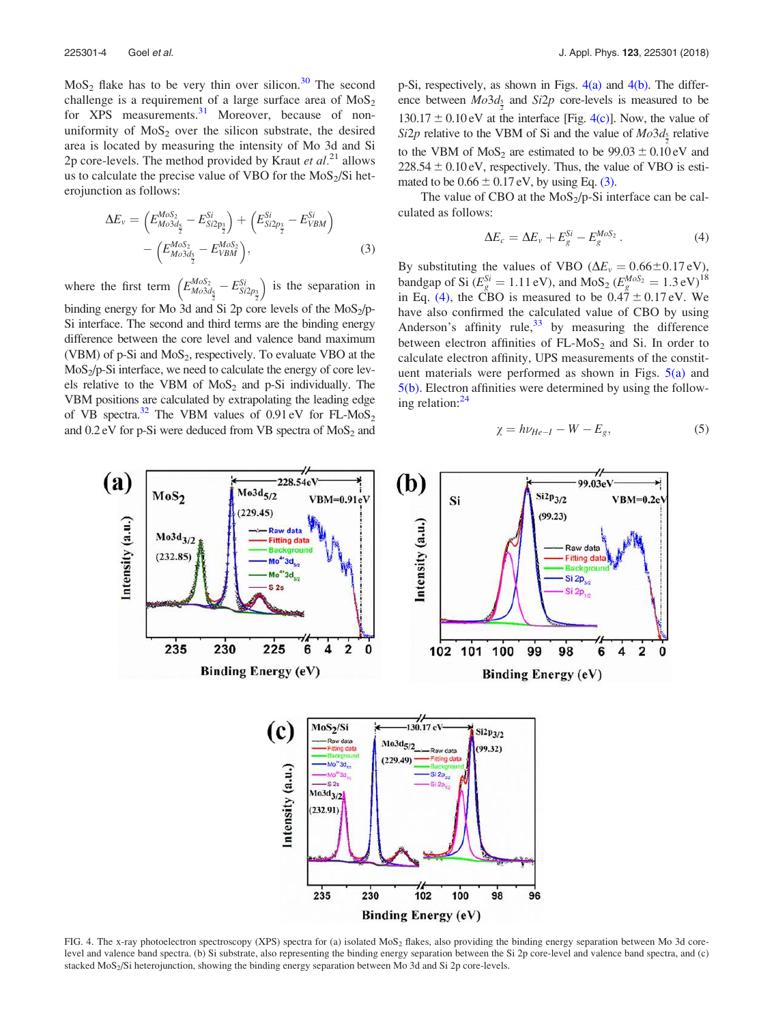$MoS<sub>2</sub>$  flake has to be very thin over silicon.<sup>30</sup> The second challenge is a requirement of a large surface area of  $MoS<sub>2</sub>$ for XPS measurements.<sup>31</sup> Moreover, because of nonuniformity of  $MoS<sub>2</sub>$  over the silicon substrate, the desired area is located by measuring the intensity of Mo 3d and Si 2p core-levels. The method provided by Kraut et  $al.^{21}$  allows us to calculate the precise value of VBO for the  $MoS<sub>2</sub>/Si$  heterojunction as follows:

$$
\Delta E_{v} = \left( E_{Mo3d_{\frac{5}{2}}}^{Mo5_{2}} - E_{Si2p_{\frac{3}{2}}}^{Si} \right) + \left( E_{Si2p_{\frac{3}{2}}}^{Si} - E_{VBM}^{Si} \right) - \left( E_{Mo3d_{\frac{5}{2}}}^{Mo5_{2}} - E_{VBM}^{Mo5_{2}} \right),
$$
\n(3)

where the first term  $\left(E_{Mo3d_{\frac{1}{2}}}^{Mo52} - E_{Si2p_{\frac{3}{2}}}^{Si}\right)$  is the separation in binding energy for Mo 3d and Si 2p core levels of the  $MoS<sub>2</sub>/p-$ Si interface. The second and third terms are the binding energy difference between the core level and valence band maximum (VBM) of p-Si and  $MoS_2$ , respectively. To evaluate VBO at the  $MoS<sub>2</sub>/p-Si$  interface, we need to calculate the energy of core levels relative to the VBM of  $MoS<sub>2</sub>$  and p-Si individually. The VBM positions are calculated by extrapolating the leading edge of VB spectra.<sup>32</sup> The VBM values of 0.91 eV for FL-MoS<sub>2</sub> and  $0.2$  eV for p-Si were deduced from VB spectra of  $MoS<sub>2</sub>$  and p-Si, respectively, as shown in Figs.  $4(a)$  and  $4(b)$ . The difference between  $Mo3d_{\frac{5}{2}}$  and  $Si2p$  core-levels is measured to be 2  $130.17 \pm 0.10$  eV at the interface [Fig. 4(c)]. Now, the value of  $Si2p$  relative to the VBM of Si and the value of  $Mo3d_{\frac{5}{2}}$  relative to the VBM of MoS<sub>2</sub> are estimated to be  $99.03 \pm 0.10 \text{ eV}$  and  $228.54 \pm 0.10$  eV, respectively. Thus, the value of VBO is estimated to be  $0.66 \pm 0.17$  eV, by using Eq. (3).

The value of CBO at the  $MoS<sub>2</sub>/p-Si$  interface can be calculated as follows:

$$
\Delta E_c = \Delta E_v + E_g^{Si} - E_g^{MoS_2} \,. \tag{4}
$$

By substituting the values of VBO ( $\Delta E_v = 0.66 \pm 0.17 \text{ eV}$ ), bandgap of Si ( $E_g^{Si} = 1.11 \text{ eV}$ ), and MoS<sub>2</sub> ( $E_g^{MoS_2} = 1.3 \text{ eV}$ )<sup>18</sup> in Eq. (4), the CBO is measured to be  $0.4\overset{\circ}{7} \pm 0.17$  eV. We have also confirmed the calculated value of CBO by using Anderson's affinity rule,  $33$  by measuring the difference between electron affinities of  $FL-MoS<sub>2</sub>$  and Si. In order to calculate electron affinity, UPS measurements of the constituent materials were performed as shown in Figs.  $5(a)$  and 5(b). Electron affinities were determined by using the following relation: $^{24}$ 

$$
\chi = h\nu_{He-I} - W - E_g,\tag{5}
$$



FIG. 4. The x-ray photoelectron spectroscopy (XPS) spectra for (a) isolated MoS<sub>2</sub> flakes, also providing the binding energy separation between Mo 3d corelevel and valence band spectra. (b) Si substrate, also representing the binding energy separation between the Si 2p core-level and valence band spectra, and (c) stacked MoS<sup>2</sup> /Si heterojunction, showing the binding energy separation between Mo 3d and Si 2p core-levels.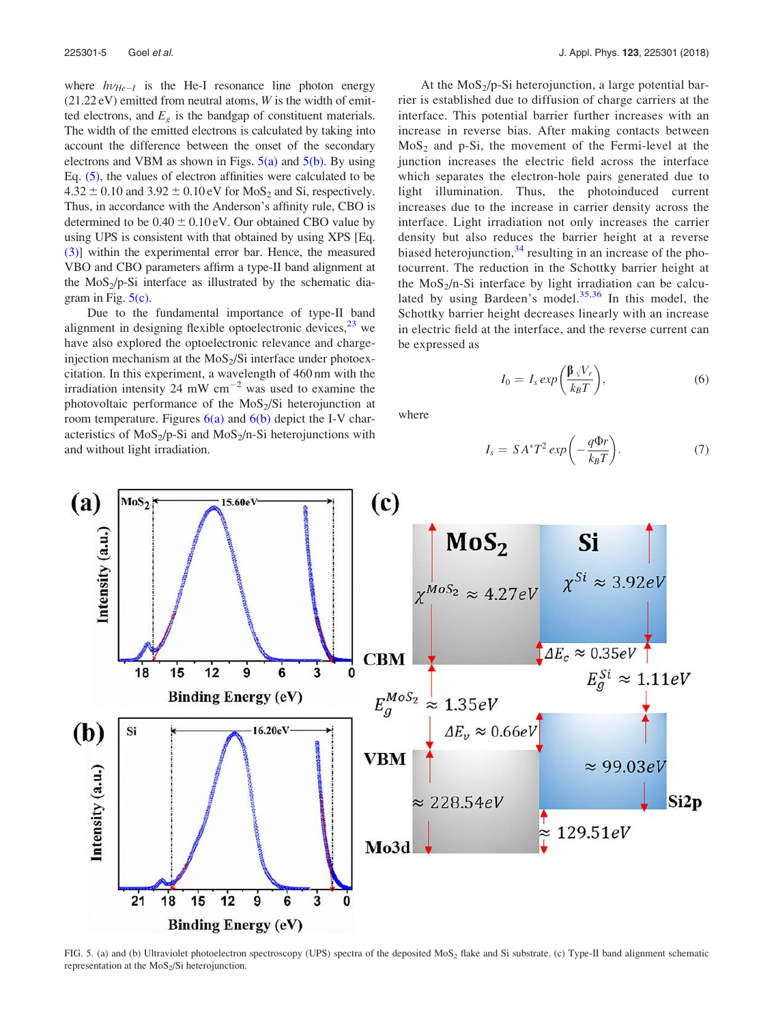where  $h\nu_{He-I}$  is the He-I resonance line photon energy  $(21.22 \text{ eV})$  emitted from neutral atoms, W is the width of emitted electrons, and  $E_{\varrho}$  is the bandgap of constituent materials. The width of the emitted electrons is calculated by taking into account the difference between the onset of the secondary electrons and VBM as shown in Figs.  $5(a)$  and  $5(b)$ . By using Eq. (5), the values of electron affinities were calculated to be  $4.32 \pm 0.10$  and  $3.92 \pm 0.10$  eV for MoS<sub>2</sub> and Si, respectively. Thus, in accordance with the Anderson's affinity rule, CBO is determined to be  $0.40 \pm 0.10 \text{ eV}$ . Our obtained CBO value by using UPS is consistent with that obtained by using XPS [Eq. (3)] within the experimental error bar. Hence, the measured VBO and CBO parameters affirm a type-II band alignment at the  $MoS<sub>2</sub>/p-Si$  interface as illustrated by the schematic diagram in Fig.  $5(c)$ .

Due to the fundamental importance of type-II band alignment in designing flexible optoelectronic devices,  $^{23}$  we have also explored the optoelectronic relevance and chargeinjection mechanism at the  $MoS<sub>2</sub>/Si$  interface under photoexcitation. In this experiment, a wavelength of 460 nm with the irradiation intensity 24 mW cm<sup> $-2$ </sup> was used to examine the photovoltaic performance of the  $MoS<sub>2</sub>/Si$  heterojunction at room temperature. Figures  $6(a)$  and  $6(b)$  depict the I-V characteristics of  $MoS_2/p-Si$  and  $MoS_2/n-Si$  heterojunctions with and without light irradiation.

At the  $MoS<sub>2</sub>/p-Si$  heterojunction, a large potential barrier is established due to diffusion of charge carriers at the interface. This potential barrier further increases with an increase in reverse bias. After making contacts between  $MoS<sub>2</sub>$  and p-Si, the movement of the Fermi-level at the junction increases the electric field across the interface which separates the electron-hole pairs generated due to light illumination. Thus, the photoinduced current increases due to the increase in carrier density across the interface. Light irradiation not only increases the carrier density but also reduces the barrier height at a reverse biased heterojunction, $34$  resulting in an increase of the photocurrent. The reduction in the Schottky barrier height at the  $MoS<sub>2</sub>/n-Si$  interface by light irradiation can be calculated by using Bardeen's model.<sup>35,36</sup> In this model, the Schottky barrier height decreases linearly with an increase in electric field at the interface, and the reverse current can be expressed as

$$
I_0 = I_s \exp\left(\frac{\beta \sqrt{V_r}}{k_B T}\right),\tag{6}
$$

where

$$
I_s = SA^*T^2 \exp\left(-\frac{q\Phi r}{k_B T}\right). \tag{7}
$$



FIG. 5. (a) and (b) Ultraviolet photoelectron spectroscopy (UPS) spectra of the deposited MoS<sub>2</sub> flake and Si substrate. (c) Type-II band alignment schematic representation at the  $MoS<sub>2</sub>/Si$  heterojunction.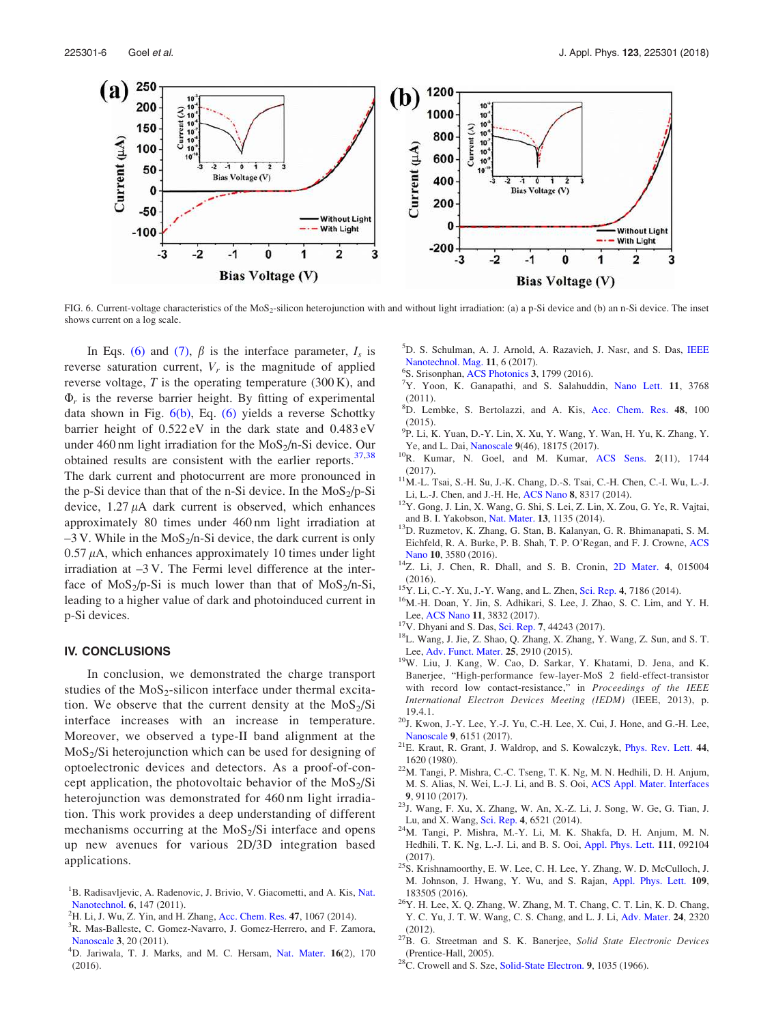

FIG. 6. Current-voltage characteristics of the MoS<sub>2</sub>-silicon heterojunction with and without light irradiation: (a) a p-Si device and (b) an n-Si device. The inset shows current on a log scale.

In Eqs. (6) and (7),  $\beta$  is the interface parameter,  $I_s$  is reverse saturation current,  $V_r$  is the magnitude of applied reverse voltage,  $T$  is the operating temperature (300 K), and  $\Phi_r$  is the reverse barrier height. By fitting of experimental data shown in Fig.  $6(b)$ , Eq.  $(6)$  yields a reverse Schottky barrier height of 0.522 eV in the dark state and 0.483 eV under 460 nm light irradiation for the  $MoS<sub>2</sub>/n-Si$  device. Our obtained results are consistent with the earlier reports.<sup>37,38</sup> The dark current and photocurrent are more pronounced in the p-Si device than that of the n-Si device. In the  $M_0S_2/p-Si$ device,  $1.27 \mu A$  dark current is observed, which enhances approximately 80 times under 460 nm light irradiation at  $-3$  V. While in the MoS<sub>2</sub>/n-Si device, the dark current is only  $0.57 \mu A$ , which enhances approximately 10 times under light irradiation at –3 V. The Fermi level difference at the interface of  $MoS_2/p-Si$  is much lower than that of  $MoS_2/n-Si$ , leading to a higher value of dark and photoinduced current in p-Si devices.

#### IV. CONCLUSIONS

In conclusion, we demonstrated the charge transport studies of the  $MoS_2$ -silicon interface under thermal excitation. We observe that the current density at the  $MoS<sub>2</sub>/Si$ interface increases with an increase in temperature. Moreover, we observed a type-II band alignment at the MoS<sub>2</sub>/Si heterojunction which can be used for designing of optoelectronic devices and detectors. As a proof-of-concept application, the photovoltaic behavior of the  $MoS_2/Si$ heterojunction was demonstrated for 460 nm light irradiation. This work provides a deep understanding of different mechanisms occurring at the  $MoS<sub>2</sub>/Si$  interface and opens up new avenues for various 2D/3D integration based applications.

- <sup>1</sup>B. Radisavljevic, A. Radenovic, J. Brivio, V. Giacometti, and A. Kis, Nat. Nanotechnol. 6, 147 (2011).
- ${}^{2}$ H. Li, J. Wu, Z. Yin, and H. Zhang, Acc. Chem. Res. 47, 1067 (2014).
- <sup>3</sup>R. Mas-Balleste, C. Gomez-Navarro, J. Gomez-Herrero, and F. Zamora, Nanoscale 3, 20 (2011).
- <sup>4</sup>D. Jariwala, T. J. Marks, and M. C. Hersam, Nat. Mater. 16(2), 170 (2016).
- <sup>5</sup>D. S. Schulman, A. J. Arnold, A. Razavieh, J. Nasr, and S. Das, IEEE Nanotechnol. Mag. 11, 6 (2017).
- 6 S. Srisonphan, ACS Photonics 3, 1799 (2016).
- <sup>7</sup>Y. Yoon, K. Ganapathi, and S. Salahuddin, Nano Lett. 11, 3768 (2011).
- <sup>8</sup>D. Lembke, S. Bertolazzi, and A. Kis, Acc. Chem. Res. 48, 100 (2015).
- 9 P. Li, K. Yuan, D.-Y. Lin, X. Xu, Y. Wang, Y. Wan, H. Yu, K. Zhang, Y. Ye, and L. Dai, Nanoscale 9(46), 18175 (2017).
- $^{10}$ R. Kumar, N. Goel, and M. Kumar, ACS Sens. 2(11), 1744 (2017).
- $11$ M.-L. Tsai, S.-H. Su, J.-K. Chang, D.-S. Tsai, C.-H. Chen, C.-I. Wu, L.-J. Li, L.-J. Chen, and J.-H. He, ACS Nano 8, 8317 (2014).
- <sup>12</sup>Y. Gong, J. Lin, X. Wang, G. Shi, S. Lei, Z. Lin, X. Zou, G. Ye, R. Vajtai, and B. I. Yakobson, Nat. Mater. 13, 1135 (2014).
- <sup>13</sup>D. Ruzmetov, K. Zhang, G. Stan, B. Kalanyan, G. R. Bhimanapati, S. M. Eichfeld, R. A. Burke, P. B. Shah, T. P. O'Regan, and F. J. Crowne, ACS Nano 10, 3580 (2016).
- <sup>14</sup>Z. Li, J. Chen, R. Dhall, and S. B. Cronin, 2D Mater. 4, 015004 (2016).
- <sup>15</sup>Y. Li, C.-Y. Xu, J.-Y. Wang, and L. Zhen, Sci. Rep. 4, 7186 (2014).
- <sup>16</sup>M.-H. Doan, Y. Jin, S. Adhikari, S. Lee, J. Zhao, S. C. Lim, and Y. H. Lee, ACS Nano 11, 3832 (2017).
- <sup>17</sup>V. Dhyani and S. Das, Sci. Rep. 7, 44243 (2017).
- <sup>18</sup>L. Wang, J. Jie, Z. Shao, Q. Zhang, X. Zhang, Y. Wang, Z. Sun, and S. T. Lee, Adv. Funct. Mater. 25, 2910 (2015).
- <sup>19</sup>W. Liu, J. Kang, W. Cao, D. Sarkar, Y. Khatami, D. Jena, and K. Banerjee, "High-performance few-layer-MoS 2 field-effect-transistor with record low contact-resistance," in Proceedings of the IEEE International Electron Devices Meeting (IEDM) (IEEE, 2013), p. 19.4.1.
- ${}^{20}$ J. Kwon, J.-Y. Lee, Y.-J. Yu, C.-H. Lee, X. Cui, J. Hone, and G.-H. Lee, Nanoscale 9, 6151 (2017).
- <sup>21</sup>E. Kraut, R. Grant, J. Waldrop, and S. Kowalczyk, Phys. Rev. Lett. 44, 1620 (1980).
- <sup>22</sup>M. Tangi, P. Mishra, C.-C. Tseng, T. K. Ng, M. N. Hedhili, D. H. Anjum, M. S. Alias, N. Wei, L.-J. Li, and B. S. Ooi, ACS Appl. Mater. Interfaces 9, 9110 (2017).
- <sup>23</sup>J. Wang, F. Xu, X. Zhang, W. An, X.-Z. Li, J. Song, W. Ge, G. Tian, J. Lu, and X. Wang, Sci. Rep. 4, 6521 (2014).
- <sup>24</sup>M. Tangi, P. Mishra, M.-Y. Li, M. K. Shakfa, D. H. Anjum, M. N. Hedhili, T. K. Ng, L.-J. Li, and B. S. Ooi, Appl. Phys. Lett. 111, 092104 (2017).
- <sup>25</sup>S. Krishnamoorthy, E. W. Lee, C. H. Lee, Y. Zhang, W. D. McCulloch, J. M. Johnson, J. Hwang, Y. Wu, and S. Rajan, Appl. Phys. Lett. 109, 183505 (2016).
- <sup>26</sup>Y. H. Lee, X. Q. Zhang, W. Zhang, M. T. Chang, C. T. Lin, K. D. Chang, Y. C. Yu, J. T. W. Wang, C. S. Chang, and L. J. Li, Adv. Mater. 24, 2320 (2012).
- $27\text{B}$ . G. Streetman and S. K. Banerjee, Solid State Electronic Devices (Prentice-Hall, 2005).
- $^{28}$ C. Crowell and S. Sze, Solid-State Electron. 9, 1035 (1966).